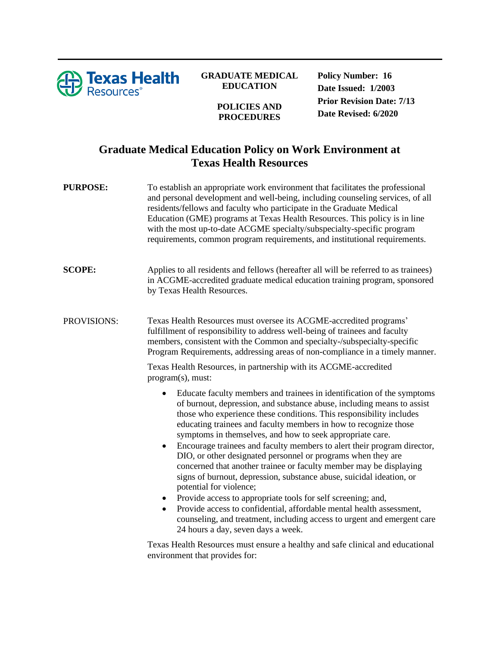

## **GRADUATE MEDICAL EDUCATION**

**POLICIES AND PROCEDURES**

**Policy Number: 16 Date Issued: 1/2003 Prior Revision Date: 7/13 Date Revised: 6/2020**

## **Graduate Medical Education Policy on Work Environment at Texas Health Resources**

| <b>PURPOSE:</b> | To establish an appropriate work environment that facilitates the professional<br>and personal development and well-being, including counseling services, of all<br>residents/fellows and faculty who participate in the Graduate Medical<br>Education (GME) programs at Texas Health Resources. This policy is in line<br>with the most up-to-date ACGME specialty/subspecialty-specific program<br>requirements, common program requirements, and institutional requirements.                                                                                                                                                                                                                                                                                                                                                                                                                                                                 |
|-----------------|-------------------------------------------------------------------------------------------------------------------------------------------------------------------------------------------------------------------------------------------------------------------------------------------------------------------------------------------------------------------------------------------------------------------------------------------------------------------------------------------------------------------------------------------------------------------------------------------------------------------------------------------------------------------------------------------------------------------------------------------------------------------------------------------------------------------------------------------------------------------------------------------------------------------------------------------------|
| <b>SCOPE:</b>   | Applies to all residents and fellows (hereafter all will be referred to as trainees)<br>in ACGME-accredited graduate medical education training program, sponsored<br>by Texas Health Resources.                                                                                                                                                                                                                                                                                                                                                                                                                                                                                                                                                                                                                                                                                                                                                |
| PROVISIONS:     | Texas Health Resources must oversee its ACGME-accredited programs'<br>fulfillment of responsibility to address well-being of trainees and faculty<br>members, consistent with the Common and specialty-/subspecialty-specific<br>Program Requirements, addressing areas of non-compliance in a timely manner.                                                                                                                                                                                                                                                                                                                                                                                                                                                                                                                                                                                                                                   |
|                 | Texas Health Resources, in partnership with its ACGME-accredited<br>program(s), must:                                                                                                                                                                                                                                                                                                                                                                                                                                                                                                                                                                                                                                                                                                                                                                                                                                                           |
|                 | Educate faculty members and trainees in identification of the symptoms<br>٠<br>of burnout, depression, and substance abuse, including means to assist<br>those who experience these conditions. This responsibility includes<br>educating trainees and faculty members in how to recognize those<br>symptoms in themselves, and how to seek appropriate care.<br>Encourage trainees and faculty members to alert their program director,<br>٠<br>DIO, or other designated personnel or programs when they are<br>concerned that another trainee or faculty member may be displaying<br>signs of burnout, depression, substance abuse, suicidal ideation, or<br>potential for violence;<br>Provide access to appropriate tools for self screening; and,<br>Provide access to confidential, affordable mental health assessment,<br>counseling, and treatment, including access to urgent and emergent care<br>24 hours a day, seven days a week. |
|                 | Toyee Hoalth Decourses must engure a hoalthy and safe clinical and educational                                                                                                                                                                                                                                                                                                                                                                                                                                                                                                                                                                                                                                                                                                                                                                                                                                                                  |

Texas Health Resources must ensure a healthy and safe clinical and educational environment that provides for: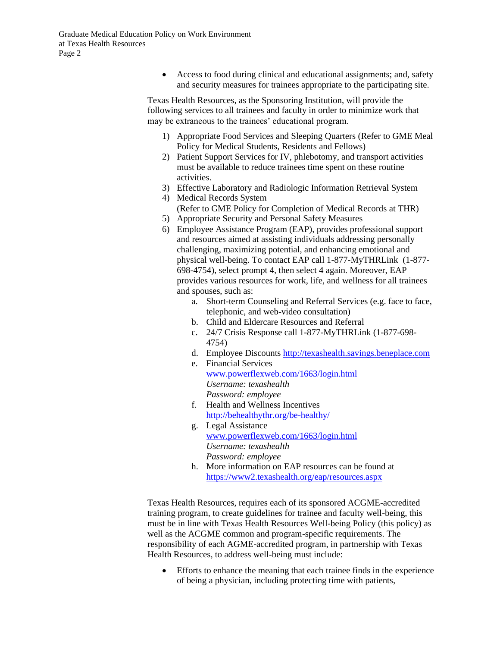• Access to food during clinical and educational assignments; and, safety and security measures for trainees appropriate to the participating site.

Texas Health Resources, as the Sponsoring Institution, will provide the following services to all trainees and faculty in order to minimize work that may be extraneous to the trainees' educational program.

- 1) Appropriate Food Services and Sleeping Quarters (Refer to GME Meal Policy for Medical Students, Residents and Fellows)
- 2) Patient Support Services for IV, phlebotomy, and transport activities must be available to reduce trainees time spent on these routine activities.
- 3) Effective Laboratory and Radiologic Information Retrieval System 4) Medical Records System
- (Refer to GME Policy for Completion of Medical Records at THR) 5) Appropriate Security and Personal Safety Measures
- 6) Employee Assistance Program (EAP), provides professional support and resources aimed at assisting individuals addressing personally challenging, maximizing potential, and enhancing emotional and physical well-being. To contact EAP call 1-877-MyTHRLink (1-877- 698-4754), select prompt 4, then select 4 again. Moreover, EAP provides various resources for work, life, and wellness for all trainees and spouses, such as:
	- a. Short-term Counseling and Referral Services (e.g. face to face, telephonic, and web-video consultation)
	- b. Child and Eldercare Resources and Referral
	- c. 24/7 Crisis Response call 1-877-MyTHRLink (1-877-698- 4754)
	- d. Employee Discount[s http://texashealth.savings.beneplace.com](http://texashealth.savings.beneplace.com/)
	- e. Financial Services [www.powerflexweb.com/1663/login.html](http://www.powerflexweb.com/1663/login.html) *Username: texashealth Password: employee*
	- f. Health and Wellness Incentives [http://behealthythr.org/be-healthy/](http://behealthythr.org/be-healthy/​)
	- g. Legal Assistance [www.powerflexweb.com/1663/login.html](http://www.powerflexweb.com/1663/login.html) *Username: texashealth Password: employee*
	- h. More information on EAP resources can be found at <https://www2.texashealth.org/eap/resources.aspx>

Texas Health Resources, requires each of its sponsored ACGME-accredited training program, to create guidelines for trainee and faculty well-being, this must be in line with Texas Health Resources Well-being Policy (this policy) as well as the ACGME common and program-specific requirements. The responsibility of each AGME-accredited program, in partnership with Texas Health Resources, to address well-being must include:

• Efforts to enhance the meaning that each trainee finds in the experience of being a physician, including protecting time with patients,